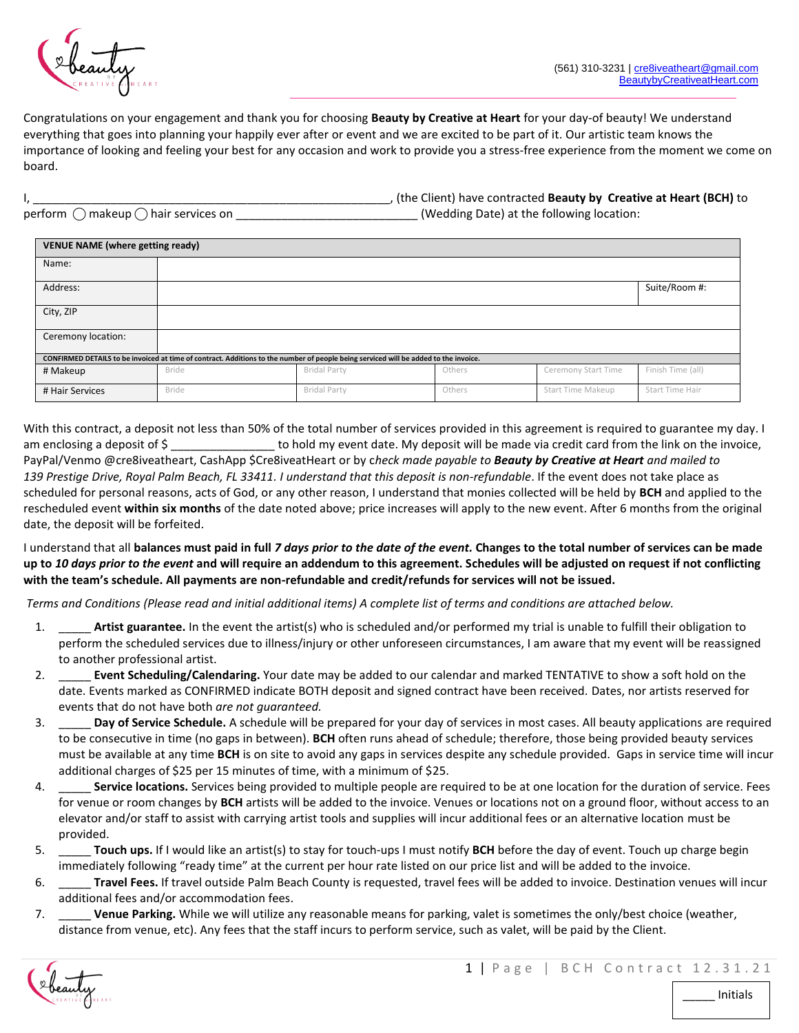

Congratulations on your engagement and thank you for choosing **Beauty by Creative at Heart** for your day-of beauty! We understand everything that goes into planning your happily ever after or event and we are excited to be part of it. Our artistic team knows the importance of looking and feeling your best for any occasion and work to provide you a stress-free experience from the moment we come on board.

|                                                       | , (the Client) have contracted Beauty by Creative at Heart (BCH) to |
|-------------------------------------------------------|---------------------------------------------------------------------|
| perform $\bigcirc$ makeup $\bigcirc$ hair services on | (Wedding Date) at the following location:                           |

| <b>VENUE NAME (where getting ready)</b>                                                                                              |              |                     |        |                     |                   |  |
|--------------------------------------------------------------------------------------------------------------------------------------|--------------|---------------------|--------|---------------------|-------------------|--|
| Name:                                                                                                                                |              |                     |        |                     |                   |  |
| Address:                                                                                                                             |              |                     |        |                     | Suite/Room #:     |  |
| City, ZIP                                                                                                                            |              |                     |        |                     |                   |  |
| Ceremony location:                                                                                                                   |              |                     |        |                     |                   |  |
| CONFIRMED DETAILS to be invoiced at time of contract. Additions to the number of people being serviced will be added to the invoice. |              |                     |        |                     |                   |  |
| # Makeup                                                                                                                             | <b>Bride</b> | <b>Bridal Party</b> | Others | Ceremony Start Time | Finish Time (all) |  |
| # Hair Services                                                                                                                      | <b>Bride</b> | <b>Bridal Party</b> | Others | Start Time Makeup   | Start Time Hair   |  |

With this contract, a deposit not less than 50% of the total number of services provided in this agreement is required to guarantee my day. I am enclosing a deposit of \$ 1000 to hold my event date. My deposit will be made via credit card from the link on the invoice, PayPal/Venmo @cre8iveatheart, CashApp \$Cre8iveatHeart or by c*heck made payable to Beauty by Creative at Heart and mailed to 139 Prestige Drive, Royal Palm Beach, FL 33411. I understand that this deposit is non-refundable*. If the event does not take place as scheduled for personal reasons, acts of God, or any other reason, I understand that monies collected will be held by **BCH** and applied to the rescheduled event **within six months** of the date noted above; price increases will apply to the new event. After 6 months from the original date, the deposit will be forfeited.

I understand that all **balances must paid in full** *7 days prior to the date of the event.* **Changes to the total number of services can be made up to** *10 days prior to the event* **and will require an addendum to this agreement. Schedules will be adjusted on request if not conflicting with the team's schedule. All payments are non-refundable and credit/refunds for services will not be issued.**

*Terms and Conditions (Please read and initial additional items) A complete list of terms and conditions are attached below.*

- 1. \_\_\_\_\_ **Artist guarantee.** In the event the artist(s) who is scheduled and/or performed my trial is unable to fulfill their obligation to perform the scheduled services due to illness/injury or other unforeseen circumstances, I am aware that my event will be reassigned to another professional artist.
- 2. \_\_\_\_\_ **Event Scheduling/Calendaring.** Your date may be added to our calendar and marked TENTATIVE to show a soft hold on the date. Events marked as CONFIRMED indicate BOTH deposit and signed contract have been received. Dates, nor artists reserved for events that do not have both *are not guaranteed.*
- 3. \_\_\_\_\_ **Day of Service Schedule.** A schedule will be prepared for your day of services in most cases. All beauty applications are required to be consecutive in time (no gaps in between). **BCH** often runs ahead of schedule; therefore, those being provided beauty services must be available at any time **BCH** is on site to avoid any gaps in services despite any schedule provided. Gaps in service time will incur additional charges of \$25 per 15 minutes of time, with a minimum of \$25.
- 4. \_\_\_\_\_ **Service locations.** Services being provided to multiple people are required to be at one location for the duration of service. Fees for venue or room changes by **BCH** artists will be added to the invoice. Venues or locations not on a ground floor, without access to an elevator and/or staff to assist with carrying artist tools and supplies will incur additional fees or an alternative location must be provided.
- 5. \_\_\_\_\_ **Touch ups.** If I would like an artist(s) to stay for touch-ups I must notify **BCH** before the day of event. Touch up charge begin immediately following "ready time" at the current per hour rate listed on our price list and will be added to the invoice.
- 6. \_\_\_\_\_ **Travel Fees.** If travel outside Palm Beach County is requested, travel fees will be added to invoice. Destination venues will incur additional fees and/or accommodation fees.
- 7. \_\_\_\_\_ **Venue Parking.** While we will utilize any reasonable means for parking, valet is sometimes the only/best choice (weather, distance from venue, etc). Any fees that the staff incurs to perform service, such as valet, will be paid by the Client.

\_\_\_\_\_ Initials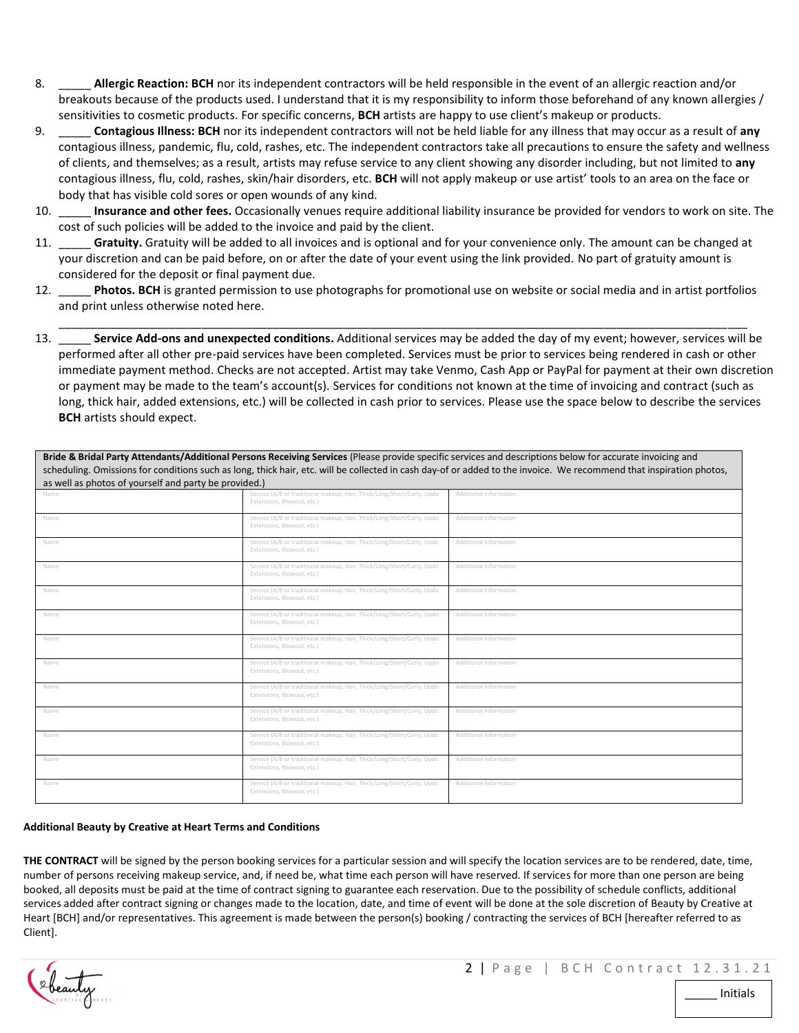- 8. \_\_\_\_\_ **Allergic Reaction: BCH** nor its independent contractors will be held responsible in the event of an allergic reaction and/or breakouts because of the products used. I understand that it is my responsibility to inform those beforehand of any known allergies / sensitivities to cosmetic products. For specific concerns, **BCH** artists are happy to use client's makeup or products.
- 9. \_\_\_\_\_ **Contagious Illness: BCH** nor its independent contractors will not be held liable for any illness that may occur as a result of **any**  contagious illness, pandemic, flu, cold, rashes, etc. The independent contractors take all precautions to ensure the safety and wellness of clients, and themselves; as a result, artists may refuse service to any client showing any disorder including, but not limited to **any**  contagious illness, flu, cold, rashes, skin/hair disorders, etc. **BCH** will not apply makeup or use artist' tools to an area on the face or body that has visible cold sores or open wounds of any kind.
- 10. \_\_\_\_\_ **Insurance and other fees.** Occasionally venues require additional liability insurance be provided for vendors to work on site. The cost of such policies will be added to the invoice and paid by the client.
- 11. Gratuity. Gratuity will be added to all invoices and is optional and for your convenience only. The amount can be changed at your discretion and can be paid before, on or after the date of your event using the link provided. No part of gratuity amount is considered for the deposit or final payment due.
- 12. \_\_\_\_\_ **Photos. BCH** is granted permission to use photographs for promotional use on website or social media and in artist portfolios and print unless otherwise noted here.
- \_\_\_\_\_\_\_\_\_\_\_\_\_\_\_\_\_\_\_\_\_\_\_\_\_\_\_\_\_\_\_\_\_\_\_\_\_\_\_\_\_\_\_\_\_\_\_\_\_\_\_\_\_\_\_\_\_\_\_\_\_\_\_\_\_\_\_\_\_\_\_\_\_\_\_\_\_\_\_\_\_\_\_\_\_\_\_\_\_\_\_\_\_\_\_\_\_\_\_\_\_\_\_\_\_\_ 13. \_\_\_\_\_ **Service Add-ons and unexpected conditions.** Additional services may be added the day of my event; however, services will be performed after all other pre-paid services have been completed. Services must be prior to services being rendered in cash or other immediate payment method. Checks are not accepted. Artist may take Venmo, Cash App or PayPal for payment at their own discretion or payment may be made to the team's account(s). Services for conditions not known at the time of invoicing and contract (such as long, thick hair, added extensions, etc.) will be collected in cash prior to services. Please use the space below to describe the services **BCH** artists should expect.

**Bride & Bridal Party Attendants/Additional Persons Receiving Services** (Please provide specific services and descriptions below for accurate invoicing and scheduling. Omissions for conditions such as long, thick hair, etc. will be collected in cash day-of or added to the invoice. We recommend that inspiration photos, as well as photos of yourself and party be provided.)

| Name | Service (A/B or traditional makeup, Hair, Thick/Long/Short/Curly, Updo<br>Extensions, Blowout, etc.) | Additional Information |
|------|------------------------------------------------------------------------------------------------------|------------------------|
| Name | Service (A/B or traditional makeup, Hair, Thick/Long/Short/Curly, Updo<br>Extensions, Blowout, etc.) | Additional Information |
| Name | Service (A/B or traditional makeup, Hair, Thick/Long/Short/Curly, Updo<br>Extensions, Blowout, etc.) | Additional Information |
| Name | Service (A/B or traditional makeup, Hair, Thick/Long/Short/Curly, Updo<br>Extensions, Blowout, etc.) | Additional Information |
| Name | Service (A/B or traditional makeup, Hair, Thick/Long/Short/Curly, Updo<br>Extensions, Blowout, etc.) | Additional Information |
| Name | Service (A/B or traditional makeup, Hair, Thick/Long/Short/Curly, Updo<br>Extensions, Blowout, etc.) | Additional Information |
| Name | Service (A/B or traditional makeup, Hair, Thick/Long/Short/Curly, Updo<br>Extensions, Blowout, etc.) | Additional Information |
| Name | Service (A/B or traditional makeup, Hair, Thick/Long/Short/Curly, Updo<br>Extensions, Blowout, etc.) | Additional Information |
| Name | Service (A/B or traditional makeup, Hair, Thick/Long/Short/Curly, Updo<br>Extensions, Blowout, etc.) | Additional Information |
| Name | Service (A/B or traditional makeup, Hair, Thick/Long/Short/Curly, Updo<br>Extensions, Blowout, etc.) | Additional Information |
| Name | Service (A/B or traditional makeup, Hair, Thick/Long/Short/Curly, Updo<br>Extensions, Blowout, etc.) | Additional Information |
| Name | Service (A/B or traditional makeup, Hair, Thick/Long/Short/Curly, Updo<br>Extensions, Blowout, etc.) | Additional Information |
| Name | Service (A/B or traditional makeup, Hair, Thick/Long/Short/Curly, Updo<br>Extensions, Blowout, etc.) | Additional Information |

## **Additional Beauty by Creative at Heart Terms and Conditions**

**THE CONTRACT** will be signed by the person booking services for a particular session and will specify the location services are to be rendered, date, time, number of persons receiving makeup service, and, if need be, what time each person will have reserved. If services for more than one person are being booked, all deposits must be paid at the time of contract signing to guarantee each reservation. Due to the possibility of schedule conflicts, additional services added after contract signing or changes made to the location, date, and time of event will be done at the sole discretion of Beauty by Creative at Heart [BCH] and/or representatives. This agreement is made between the person(s) booking / contracting the services of BCH [hereafter referred to as Client].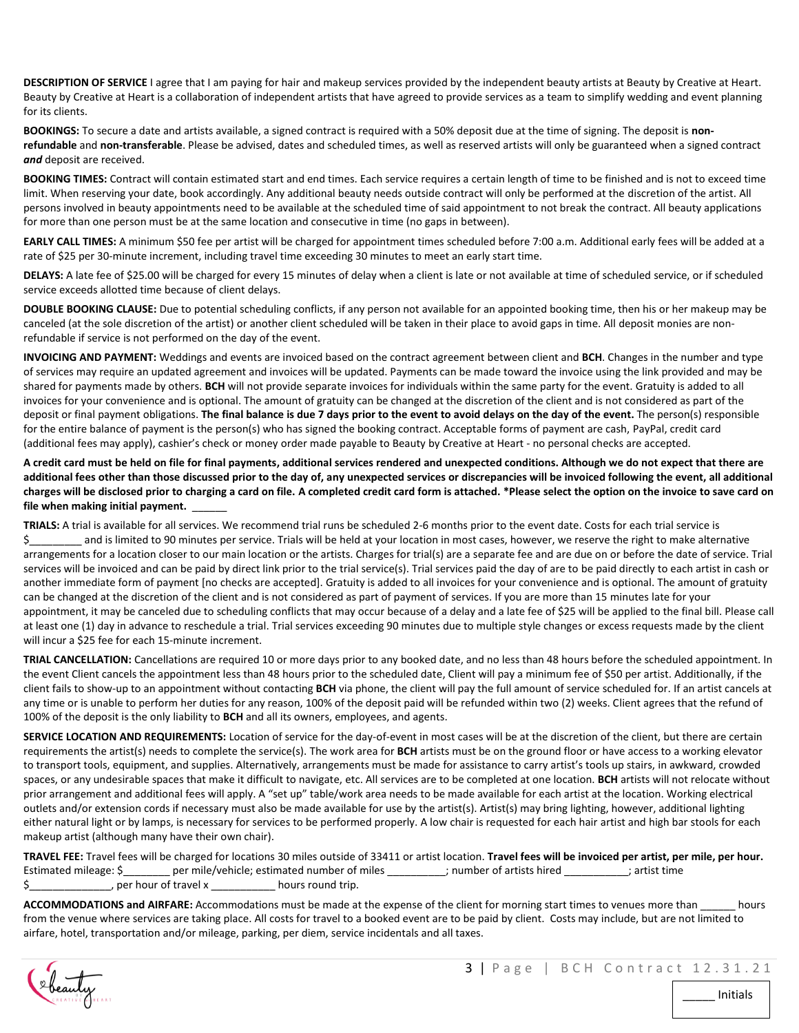**DESCRIPTION OF SERVICE** I agree that I am paying for hair and makeup services provided by the independent beauty artists at Beauty by Creative at Heart. Beauty by Creative at Heart is a collaboration of independent artists that have agreed to provide services as a team to simplify wedding and event planning for its clients.

**BOOKINGS:** To secure a date and artists available, a signed contract is required with a 50% deposit due at the time of signing. The deposit is **nonrefundable** and **non-transferable**. Please be advised, dates and scheduled times, as well as reserved artists will only be guaranteed when a signed contract *and* deposit are received.

**BOOKING TIMES:** Contract will contain estimated start and end times. Each service requires a certain length of time to be finished and is not to exceed time limit. When reserving your date, book accordingly. Any additional beauty needs outside contract will only be performed at the discretion of the artist. All persons involved in beauty appointments need to be available at the scheduled time of said appointment to not break the contract. All beauty applications for more than one person must be at the same location and consecutive in time (no gaps in between).

**EARLY CALL TIMES:** A minimum \$50 fee per artist will be charged for appointment times scheduled before 7:00 a.m. Additional early fees will be added at a rate of \$25 per 30-minute increment, including travel time exceeding 30 minutes to meet an early start time.

**DELAYS:** A late fee of \$25.00 will be charged for every 15 minutes of delay when a client is late or not available at time of scheduled service, or if scheduled service exceeds allotted time because of client delays.

**DOUBLE BOOKING CLAUSE:** Due to potential scheduling conflicts, if any person not available for an appointed booking time, then his or her makeup may be canceled (at the sole discretion of the artist) or another client scheduled will be taken in their place to avoid gaps in time. All deposit monies are nonrefundable if service is not performed on the day of the event.

**INVOICING AND PAYMENT:** Weddings and events are invoiced based on the contract agreement between client and **BCH**. Changes in the number and type of services may require an updated agreement and invoices will be updated. Payments can be made toward the invoice using the link provided and may be shared for payments made by others. **BCH** will not provide separate invoices for individuals within the same party for the event. Gratuity is added to all invoices for your convenience and is optional. The amount of gratuity can be changed at the discretion of the client and is not considered as part of the deposit or final payment obligations. **The final balance is due 7 days prior to the event to avoid delays on the day of the event.** The person(s) responsible for the entire balance of payment is the person(s) who has signed the booking contract. Acceptable forms of payment are cash, PayPal, credit card (additional fees may apply), cashier's check or money order made payable to Beauty by Creative at Heart - no personal checks are accepted.

**A credit card must be held on file for final payments, additional services rendered and unexpected conditions. Although we do not expect that there are additional fees other than those discussed prior to the day of, any unexpected services or discrepancies will be invoiced following the event, all additional charges will be disclosed prior to charging a card on file. A completed credit card form is attached. \*Please select the option on the invoice to save card on**  file when making initial payment.

**TRIALS:** A trial is available for all services. We recommend trial runs be scheduled 2-6 months prior to the event date. Costs for each trial service is \$ and is limited to 90 minutes per service. Trials will be held at your location in most cases, however, we reserve the right to make alternative arrangements for a location closer to our main location or the artists. Charges for trial(s) are a separate fee and are due on or before the date of service. Trial services will be invoiced and can be paid by direct link prior to the trial service(s). Trial services paid the day of are to be paid directly to each artist in cash or another immediate form of payment [no checks are accepted]. Gratuity is added to all invoices for your convenience and is optional. The amount of gratuity can be changed at the discretion of the client and is not considered as part of payment of services. If you are more than 15 minutes late for your appointment, it may be canceled due to scheduling conflicts that may occur because of a delay and a late fee of \$25 will be applied to the final bill. Please call at least one (1) day in advance to reschedule a trial. Trial services exceeding 90 minutes due to multiple style changes or excess requests made by the client will incur a \$25 fee for each 15-minute increment.

**TRIAL CANCELLATION:** Cancellations are required 10 or more days prior to any booked date, and no less than 48 hours before the scheduled appointment. In the event Client cancels the appointment less than 48 hours prior to the scheduled date, Client will pay a minimum fee of \$50 per artist. Additionally, if the client fails to show-up to an appointment without contacting **BCH** via phone, the client will pay the full amount of service scheduled for. If an artist cancels at any time or is unable to perform her duties for any reason, 100% of the deposit paid will be refunded within two (2) weeks. Client agrees that the refund of 100% of the deposit is the only liability to **BCH** and all its owners, employees, and agents.

**SERVICE LOCATION AND REQUIREMENTS:** Location of service for the day-of-event in most cases will be at the discretion of the client, but there are certain requirements the artist(s) needs to complete the service(s). The work area for **BCH** artists must be on the ground floor or have access to a working elevator to transport tools, equipment, and supplies. Alternatively, arrangements must be made for assistance to carry artist's tools up stairs, in awkward, crowded spaces, or any undesirable spaces that make it difficult to navigate, etc. All services are to be completed at one location. **BCH** artists will not relocate without prior arrangement and additional fees will apply. A "set up" table/work area needs to be made available for each artist at the location. Working electrical outlets and/or extension cords if necessary must also be made available for use by the artist(s). Artist(s) may bring lighting, however, additional lighting either natural light or by lamps, is necessary for services to be performed properly. A low chair is requested for each hair artist and high bar stools for each makeup artist (although many have their own chair).

**TRAVEL FEE:** Travel fees will be charged for locations 30 miles outside of 33411 or artist location. **Travel fees will be invoiced per artist, per mile, per hour.** Estimated mileage: \$ ere mile/vehicle; estimated number of miles entity inumber of artists hired in the satist time \$\_\_\_\_\_\_\_\_\_\_\_\_\_\_, per hour of travel x \_\_\_\_\_\_\_\_\_\_\_ hours round trip.

**ACCOMMODATIONS and AIRFARE:** Accommodations must be made at the expense of the client for morning start times to venues more than \_\_\_\_\_\_ hours from the venue where services are taking place. All costs for travel to a booked event are to be paid by client. Costs may include, but are not limited to airfare, hotel, transportation and/or mileage, parking, per diem, service incidentals and all taxes.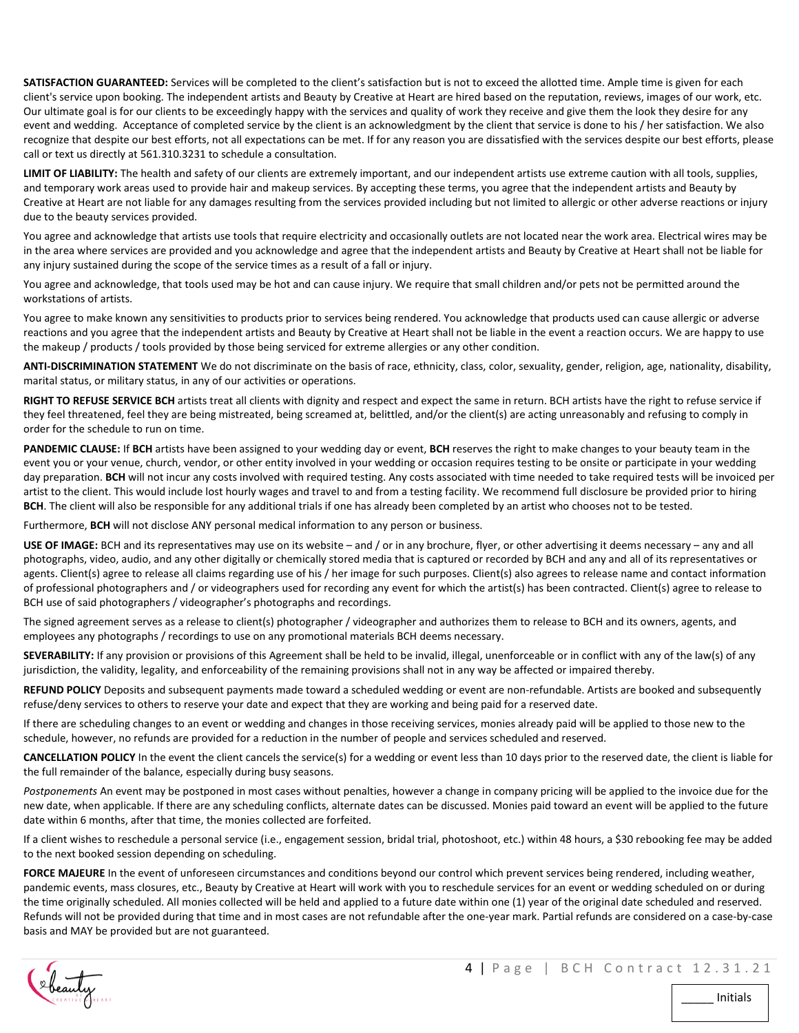**SATISFACTION GUARANTEED:** Services will be completed to the client's satisfaction but is not to exceed the allotted time. Ample time is given for each client's service upon booking. The independent artists and Beauty by Creative at Heart are hired based on the reputation, reviews, images of our work, etc. Our ultimate goal is for our clients to be exceedingly happy with the services and quality of work they receive and give them the look they desire for any event and wedding. Acceptance of completed service by the client is an acknowledgment by the client that service is done to his / her satisfaction. We also recognize that despite our best efforts, not all expectations can be met. If for any reason you are dissatisfied with the services despite our best efforts, please call or text us directly at 561.310.3231 to schedule a consultation.

**LIMIT OF LIABILITY:** The health and safety of our clients are extremely important, and our independent artists use extreme caution with all tools, supplies, and temporary work areas used to provide hair and makeup services. By accepting these terms, you agree that the independent artists and Beauty by Creative at Heart are not liable for any damages resulting from the services provided including but not limited to allergic or other adverse reactions or injury due to the beauty services provided.

You agree and acknowledge that artists use tools that require electricity and occasionally outlets are not located near the work area. Electrical wires may be in the area where services are provided and you acknowledge and agree that the independent artists and Beauty by Creative at Heart shall not be liable for any injury sustained during the scope of the service times as a result of a fall or injury.

You agree and acknowledge, that tools used may be hot and can cause injury. We require that small children and/or pets not be permitted around the workstations of artists.

You agree to make known any sensitivities to products prior to services being rendered. You acknowledge that products used can cause allergic or adverse reactions and you agree that the independent artists and Beauty by Creative at Heart shall not be liable in the event a reaction occurs. We are happy to use the makeup / products / tools provided by those being serviced for extreme allergies or any other condition.

**ANTI-DISCRIMINATION STATEMENT** We do not discriminate on the basis of race, ethnicity, class, color, sexuality, gender, religion, age, nationality, disability, marital status, or military status, in any of our activities or operations.

**RIGHT TO REFUSE SERVICE BCH** artists treat all clients with dignity and respect and expect the same in return. BCH artists have the right to refuse service if they feel threatened, feel they are being mistreated, being screamed at, belittled, and/or the client(s) are acting unreasonably and refusing to comply in order for the schedule to run on time.

**PANDEMIC CLAUSE:** If **BCH** artists have been assigned to your wedding day or event, **BCH** reserves the right to make changes to your beauty team in the event you or your venue, church, vendor, or other entity involved in your wedding or occasion requires testing to be onsite or participate in your wedding day preparation. **BCH** will not incur any costs involved with required testing. Any costs associated with time needed to take required tests will be invoiced per artist to the client. This would include lost hourly wages and travel to and from a testing facility. We recommend full disclosure be provided prior to hiring **BCH**. The client will also be responsible for any additional trials if one has already been completed by an artist who chooses not to be tested.

Furthermore, **BCH** will not disclose ANY personal medical information to any person or business.

**USE OF IMAGE:** BCH and its representatives may use on its website – and / or in any brochure, flyer, or other advertising it deems necessary – any and all photographs, video, audio, and any other digitally or chemically stored media that is captured or recorded by BCH and any and all of its representatives or agents. Client(s) agree to release all claims regarding use of his / her image for such purposes. Client(s) also agrees to release name and contact information of professional photographers and / or videographers used for recording any event for which the artist(s) has been contracted. Client(s) agree to release to BCH use of said photographers / videographer's photographs and recordings.

The signed agreement serves as a release to client(s) photographer / videographer and authorizes them to release to BCH and its owners, agents, and employees any photographs / recordings to use on any promotional materials BCH deems necessary.

**SEVERABILITY:** If any provision or provisions of this Agreement shall be held to be invalid, illegal, unenforceable or in conflict with any of the law(s) of any jurisdiction, the validity, legality, and enforceability of the remaining provisions shall not in any way be affected or impaired thereby.

**REFUND POLICY** Deposits and subsequent payments made toward a scheduled wedding or event are non-refundable. Artists are booked and subsequently refuse/deny services to others to reserve your date and expect that they are working and being paid for a reserved date.

If there are scheduling changes to an event or wedding and changes in those receiving services, monies already paid will be applied to those new to the schedule, however, no refunds are provided for a reduction in the number of people and services scheduled and reserved.

**CANCELLATION POLICY** In the event the client cancels the service(s) for a wedding or event less than 10 days prior to the reserved date, the client is liable for the full remainder of the balance, especially during busy seasons.

*Postponements* An event may be postponed in most cases without penalties, however a change in company pricing will be applied to the invoice due for the new date, when applicable. If there are any scheduling conflicts, alternate dates can be discussed. Monies paid toward an event will be applied to the future date within 6 months, after that time, the monies collected are forfeited.

If a client wishes to reschedule a personal service (i.e., engagement session, bridal trial, photoshoot, etc.) within 48 hours, a \$30 rebooking fee may be added to the next booked session depending on scheduling.

**FORCE MAJEURE** In the event of unforeseen circumstances and conditions beyond our control which prevent services being rendered, including weather, pandemic events, mass closures, etc., Beauty by Creative at Heart will work with you to reschedule services for an event or wedding scheduled on or during the time originally scheduled. All monies collected will be held and applied to a future date within one (1) year of the original date scheduled and reserved. Refunds will not be provided during that time and in most cases are not refundable after the one-year mark. Partial refunds are considered on a case-by-case basis and MAY be provided but are not guaranteed.

\_\_\_\_\_ Initials